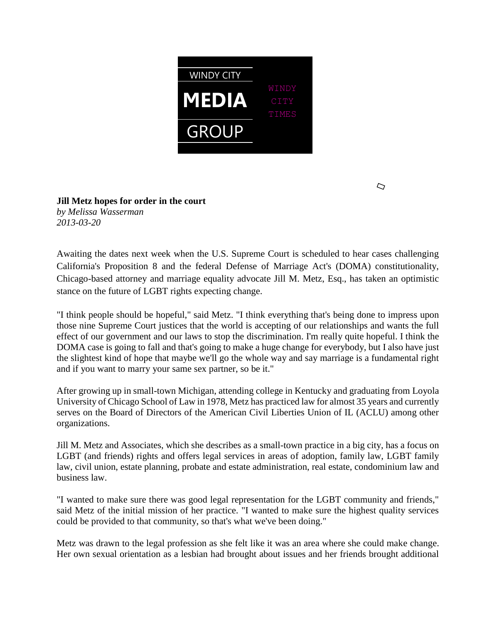

 $\overline{C}$ 

## **Jill Metz hopes for order in the court** *by Melissa Wasserman 2013-03-20*

Awaiting the dates next week when the U.S. Supreme Court is scheduled to hear cases challenging California's Proposition 8 and the federal Defense of Marriage Act's (DOMA) constitutionality, Chicago-based attorney and marriage equality advocate Jill M. Metz, Esq., has taken an optimistic stance on the future of LGBT rights expecting change.

"I think people should be hopeful," said Metz. "I think everything that's being done to impress upon those nine Supreme Court justices that the world is accepting of our relationships and wants the full effect of our government and our laws to stop the discrimination. I'm really quite hopeful. I think the DOMA case is going to fall and that's going to make a huge change for everybody, but I also have just the slightest kind of hope that maybe we'll go the whole way and say marriage is a fundamental right and if you want to marry your same sex partner, so be it."

After growing up in small-town Michigan, attending college in Kentucky and graduating from Loyola University of Chicago School of Law in 1978, Metz has practiced law for almost 35 years and currently serves on the Board of Directors of the American Civil Liberties Union of IL (ACLU) among other organizations.

Jill M. Metz and Associates, which she describes as a small-town practice in a big city, has a focus on LGBT (and friends) rights and offers legal services in areas of adoption, family law, LGBT family law, civil union, estate planning, probate and estate administration, real estate, condominium law and business law.

"I wanted to make sure there was good legal representation for the LGBT community and friends," said Metz of the initial mission of her practice. "I wanted to make sure the highest quality services could be provided to that community, so that's what we've been doing."

Metz was drawn to the legal profession as she felt like it was an area where she could make change. Her own sexual orientation as a lesbian had brought about issues and her friends brought additional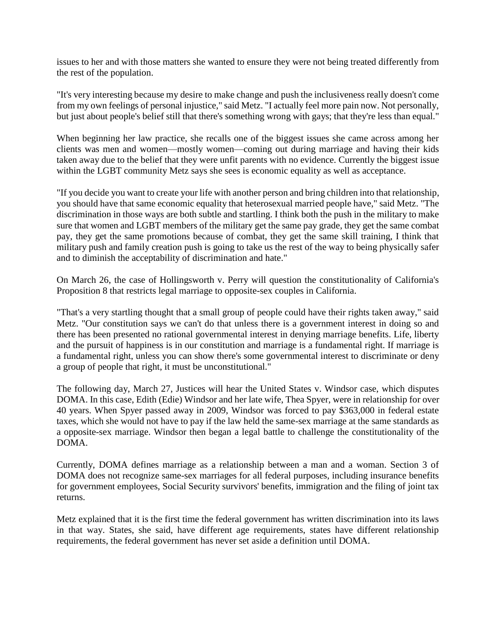issues to her and with those matters she wanted to ensure they were not being treated differently from the rest of the population.

"It's very interesting because my desire to make change and push the inclusiveness really doesn't come from my own feelings of personal injustice," said Metz. "I actually feel more pain now. Not personally, but just about people's belief still that there's something wrong with gays; that they're less than equal."

When beginning her law practice, she recalls one of the biggest issues she came across among her clients was men and women—mostly women—coming out during marriage and having their kids taken away due to the belief that they were unfit parents with no evidence. Currently the biggest issue within the LGBT community Metz says she sees is economic equality as well as acceptance.

"If you decide you want to create your life with another person and bring children into that relationship, you should have that same economic equality that heterosexual married people have," said Metz. "The discrimination in those ways are both subtle and startling. I think both the push in the military to make sure that women and LGBT members of the military get the same pay grade, they get the same combat pay, they get the same promotions because of combat, they get the same skill training, I think that military push and family creation push is going to take us the rest of the way to being physically safer and to diminish the acceptability of discrimination and hate."

On March 26, the case of Hollingsworth v. Perry will question the constitutionality of California's Proposition 8 that restricts legal marriage to opposite-sex couples in California.

"That's a very startling thought that a small group of people could have their rights taken away," said Metz. "Our constitution says we can't do that unless there is a government interest in doing so and there has been presented no rational governmental interest in denying marriage benefits. Life, liberty and the pursuit of happiness is in our constitution and marriage is a fundamental right. If marriage is a fundamental right, unless you can show there's some governmental interest to discriminate or deny a group of people that right, it must be unconstitutional."

The following day, March 27, Justices will hear the United States v. Windsor case, which disputes DOMA. In this case, Edith (Edie) Windsor and her late wife, Thea Spyer, were in relationship for over 40 years. When Spyer passed away in 2009, Windsor was forced to pay \$363,000 in federal estate taxes, which she would not have to pay if the law held the same-sex marriage at the same standards as a opposite-sex marriage. Windsor then began a legal battle to challenge the constitutionality of the DOMA.

Currently, DOMA defines marriage as a relationship between a man and a woman. Section 3 of DOMA does not recognize same-sex marriages for all federal purposes, including insurance benefits for government employees, Social Security survivors' benefits, immigration and the filing of joint tax returns.

Metz explained that it is the first time the federal government has written discrimination into its laws in that way. States, she said, have different age requirements, states have different relationship requirements, the federal government has never set aside a definition until DOMA.